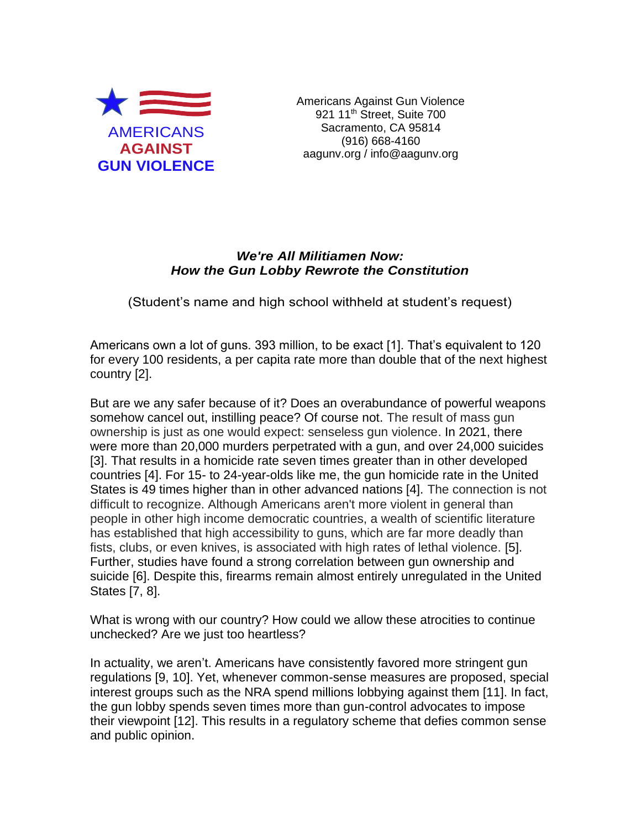

Americans Against Gun Violence 921 11<sup>th</sup> Street, Suite 700 Sacramento, CA 95814 (916) 668-4160 aagunv.org / info@aagunv.org

## *We're All Militiamen Now: How the Gun Lobby Rewrote the Constitution*

(Student's name and high school withheld at student's request)

Americans own a lot of guns. 393 million, to be exact [1]. That's equivalent to 120 for every 100 residents, a per capita rate more than double that of the next highest country [2].

But are we any safer because of it? Does an overabundance of powerful weapons somehow cancel out, instilling peace? Of course not. The result of mass gun ownership is just as one would expect: senseless gun violence. In 2021, there were more than 20,000 murders perpetrated with a gun, and over 24,000 suicides [3]. That results in a homicide rate seven times greater than in other developed countries [4]. For 15- to 24-year-olds like me, the gun homicide rate in the United States is 49 times higher than in other advanced nations [4]. The connection is not difficult to recognize. Although Americans aren't more violent in general than people in other high income democratic countries, a wealth of scientific literature has established that high accessibility to guns, which are far more deadly than fists, clubs, or even knives, is associated with high rates of lethal violence. [5]. Further, studies have found a strong correlation between gun ownership and suicide [6]. Despite this, firearms remain almost entirely unregulated in the United States [7, 8].

What is wrong with our country? How could we allow these atrocities to continue unchecked? Are we just too heartless?

In actuality, we aren't. Americans have consistently favored more stringent gun regulations [9, 10]. Yet, whenever common-sense measures are proposed, special interest groups such as the NRA spend millions lobbying against them [11]. In fact, the gun lobby spends seven times more than gun-control advocates to impose their viewpoint [12]. This results in a regulatory scheme that defies common sense and public opinion.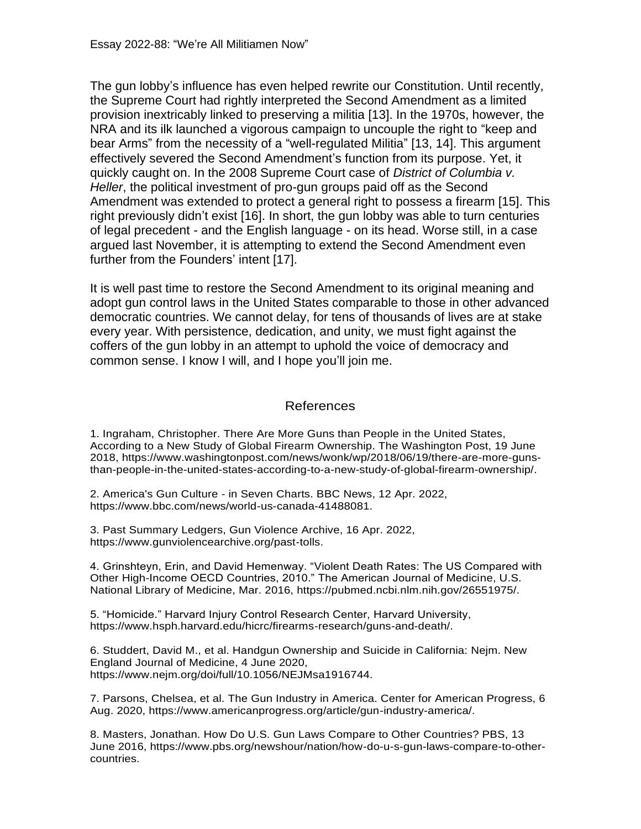The gun lobby's influence has even helped rewrite our Constitution. Until recently, the Supreme Court had rightly interpreted the Second Amendment as a limited provision inextricably linked to preserving a militia [13]. In the 1970s, however, the NRA and its ilk launched a vigorous campaign to uncouple the right to "keep and bear Arms" from the necessity of a "well-regulated Militia" [13, 14]. This argument effectively severed the Second Amendment's function from its purpose. Yet, it quickly caught on. In the 2008 Supreme Court case of *District of Columbia v. Heller*, the political investment of pro-gun groups paid off as the Second Amendment was extended to protect a general right to possess a firearm [15]. This right previously didn't exist [16]. In short, the gun lobby was able to turn centuries of legal precedent - and the English language - on its head. Worse still, in a case argued last November, it is attempting to extend the Second Amendment even further from the Founders' intent [17].

It is well past time to restore the Second Amendment to its original meaning and adopt gun control laws in the United States comparable to those in other advanced democratic countries. We cannot delay, for tens of thousands of lives are at stake every year. With persistence, dedication, and unity, we must fight against the coffers of the gun lobby in an attempt to uphold the voice of democracy and common sense. I know I will, and I hope you'll join me.

## References

1. Ingraham, Christopher. There Are More Guns than People in the United States, According to a New Study of Global Firearm Ownership. The Washington Post, 19 June 2018, https://www.washingtonpost.com/news/wonk/wp/2018/06/19/there-are-more-gunsthan-people-in-the-united-states-according-to-a-new-study-of-global-firearm-ownership/.

2. America's Gun Culture - in Seven Charts. BBC News, 12 Apr. 2022, https://www.bbc.com/news/world-us-canada-41488081.

3. Past Summary Ledgers, Gun Violence Archive, 16 Apr. 2022, https://www.gunviolencearchive.org/past-tolls.

4. Grinshteyn, Erin, and David Hemenway. "Violent Death Rates: The US Compared with Other High-Income OECD Countries, 2010." The American Journal of Medicine, U.S. National Library of Medicine, Mar. 2016, https://pubmed.ncbi.nlm.nih.gov/26551975/.

5. "Homicide." Harvard Injury Control Research Center, Harvard University, https://www.hsph.harvard.edu/hicrc/firearms-research/guns-and-death/.

6. Studdert, David M., et al. Handgun Ownership and Suicide in California: Nejm. New England Journal of Medicine, 4 June 2020, https://www.nejm.org/doi/full/10.1056/NEJMsa1916744.

7. Parsons, Chelsea, et al. The Gun Industry in America. Center for American Progress, 6 Aug. 2020, https://www.americanprogress.org/article/gun-industry-america/.

8. Masters, Jonathan. How Do U.S. Gun Laws Compare to Other Countries? PBS, 13 June 2016, https://www.pbs.org/newshour/nation/how-do-u-s-gun-laws-compare-to-othercountries.